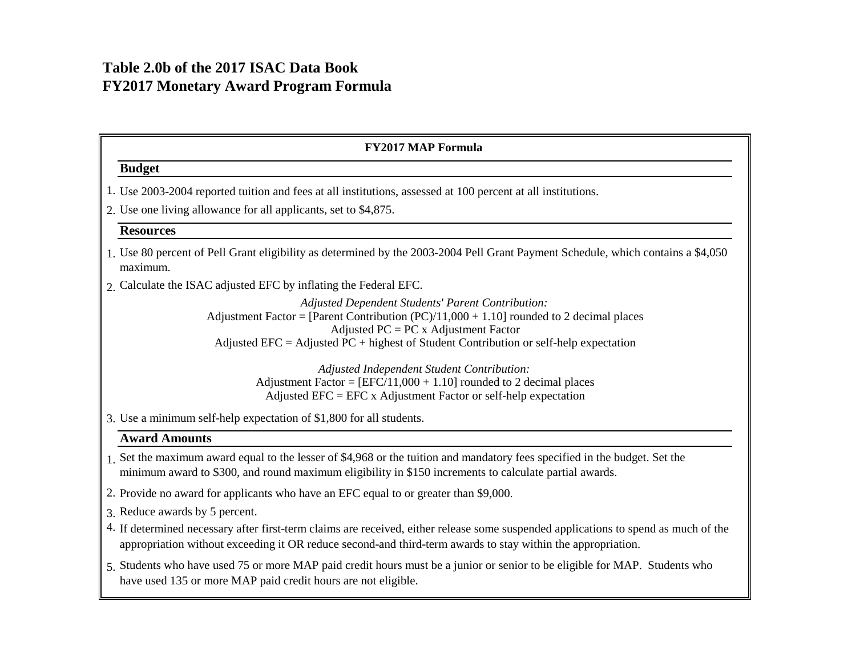## **Table 2.0b of the 2017 ISAC Data Book FY2017 Monetary Award Program Formula**

| <b>FY2017 MAP Formula</b>                                                                                                                                                                                                                                                                  |
|--------------------------------------------------------------------------------------------------------------------------------------------------------------------------------------------------------------------------------------------------------------------------------------------|
| <b>Budget</b>                                                                                                                                                                                                                                                                              |
| 1. Use 2003-2004 reported tuition and fees at all institutions, assessed at 100 percent at all institutions.                                                                                                                                                                               |
| 2. Use one living allowance for all applicants, set to \$4,875.                                                                                                                                                                                                                            |
| <b>Resources</b>                                                                                                                                                                                                                                                                           |
| 1. Use 80 percent of Pell Grant eligibility as determined by the 2003-2004 Pell Grant Payment Schedule, which contains a \$4,050<br>maximum.                                                                                                                                               |
| 2. Calculate the ISAC adjusted EFC by inflating the Federal EFC.                                                                                                                                                                                                                           |
| <b>Adjusted Dependent Students' Parent Contribution:</b><br>Adjustment Factor = [Parent Contribution $(PC)/11,000 + 1.10$ ] rounded to 2 decimal places<br>Adjusted $PC = PC$ x Adjustment Factor<br>Adjusted EFC = Adjusted PC + highest of Student Contribution or self-help expectation |
| Adjusted Independent Student Contribution:<br>Adjustment Factor = $[EFC/11,000 + 1.10]$ rounded to 2 decimal places<br>Adjusted EFC = EFC x Adjustment Factor or self-help expectation                                                                                                     |
| 3. Use a minimum self-help expectation of \$1,800 for all students.                                                                                                                                                                                                                        |
| <b>Award Amounts</b>                                                                                                                                                                                                                                                                       |
| 1. Set the maximum award equal to the lesser of \$4,968 or the tuition and mandatory fees specified in the budget. Set the<br>minimum award to \$300, and round maximum eligibility in \$150 increments to calculate partial awards.                                                       |
| 2. Provide no award for applicants who have an EFC equal to or greater than \$9,000.                                                                                                                                                                                                       |
| 3. Reduce awards by 5 percent.                                                                                                                                                                                                                                                             |
| 4. If determined necessary after first-term claims are received, either release some suspended applications to spend as much of the<br>appropriation without exceeding it OR reduce second-and third-term awards to stay within the appropriation.                                         |

5. Students who have used 75 or more MAP paid credit hours must be a junior or senior to be eligible for MAP. Students who have used 135 or more MAP paid credit hours are not eligible.